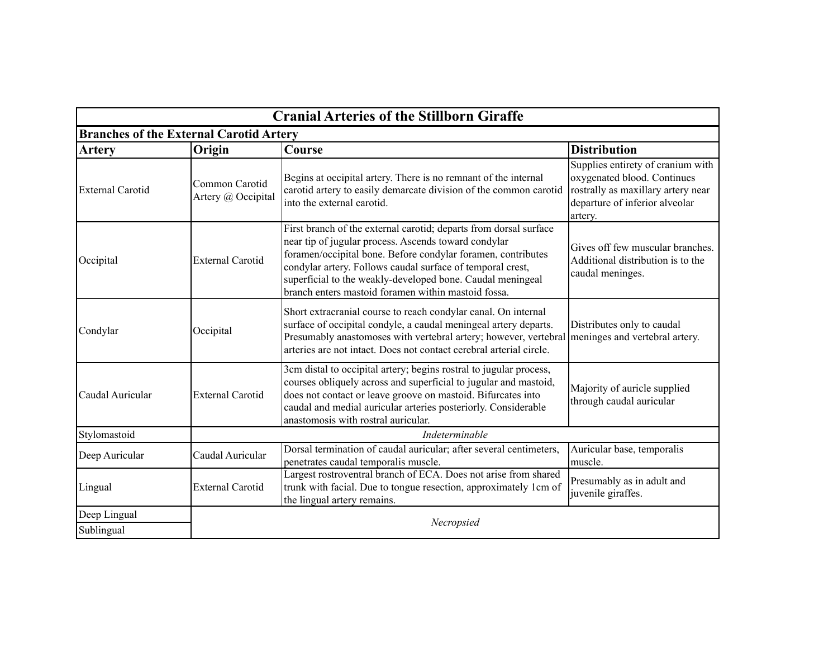| <b>Cranial Arteries of the Stillborn Giraffe</b> |                                                |                                                                                                                                                                                                                                                                                                                                                                              |                                                                                                                                                     |  |  |
|--------------------------------------------------|------------------------------------------------|------------------------------------------------------------------------------------------------------------------------------------------------------------------------------------------------------------------------------------------------------------------------------------------------------------------------------------------------------------------------------|-----------------------------------------------------------------------------------------------------------------------------------------------------|--|--|
|                                                  | <b>Branches of the External Carotid Artery</b> |                                                                                                                                                                                                                                                                                                                                                                              |                                                                                                                                                     |  |  |
| <b>Artery</b>                                    | Origin                                         | Course                                                                                                                                                                                                                                                                                                                                                                       | <b>Distribution</b>                                                                                                                                 |  |  |
| <b>External Carotid</b>                          | Common Carotid<br>Artery @ Occipital           | Begins at occipital artery. There is no remnant of the internal<br>carotid artery to easily demarcate division of the common carotid<br>into the external carotid.                                                                                                                                                                                                           | Supplies entirety of cranium with<br>oxygenated blood. Continues<br>rostrally as maxillary artery near<br>departure of inferior alveolar<br>artery. |  |  |
| Occipital                                        | <b>External Carotid</b>                        | First branch of the external carotid; departs from dorsal surface<br>near tip of jugular process. Ascends toward condylar<br>foramen/occipital bone. Before condylar foramen, contributes<br>condylar artery. Follows caudal surface of temporal crest,<br>superficial to the weakly-developed bone. Caudal meningeal<br>branch enters mastoid foramen within mastoid fossa. | Gives off few muscular branches.<br>Additional distribution is to the<br>caudal meninges.                                                           |  |  |
| Condylar                                         | Occipital                                      | Short extracranial course to reach condylar canal. On internal<br>surface of occipital condyle, a caudal meningeal artery departs.<br>Presumably anastomoses with vertebral artery; however, vertebral meninges and vertebral artery.<br>arteries are not intact. Does not contact cerebral arterial circle.                                                                 | Distributes only to caudal                                                                                                                          |  |  |
| Caudal Auricular                                 | <b>External Carotid</b>                        | 3cm distal to occipital artery; begins rostral to jugular process,<br>courses obliquely across and superficial to jugular and mastoid,<br>does not contact or leave groove on mastoid. Bifurcates into<br>caudal and medial auricular arteries posteriorly. Considerable<br>anastomosis with rostral auricular.                                                              | Majority of auricle supplied<br>through caudal auricular                                                                                            |  |  |
| Stylomastoid                                     |                                                | Indeterminable                                                                                                                                                                                                                                                                                                                                                               |                                                                                                                                                     |  |  |
| Deep Auricular                                   | Caudal Auricular                               | Dorsal termination of caudal auricular; after several centimeters,<br>penetrates caudal temporalis muscle.                                                                                                                                                                                                                                                                   | Auricular base, temporalis<br>muscle.                                                                                                               |  |  |
| Lingual                                          | <b>External Carotid</b>                        | Largest rostroventral branch of ECA. Does not arise from shared<br>trunk with facial. Due to tongue resection, approximately 1cm of<br>the lingual artery remains.                                                                                                                                                                                                           | Presumably as in adult and<br>juvenile giraffes.                                                                                                    |  |  |
| Deep Lingual                                     |                                                |                                                                                                                                                                                                                                                                                                                                                                              |                                                                                                                                                     |  |  |
| Sublingual                                       |                                                | Necropsied                                                                                                                                                                                                                                                                                                                                                                   |                                                                                                                                                     |  |  |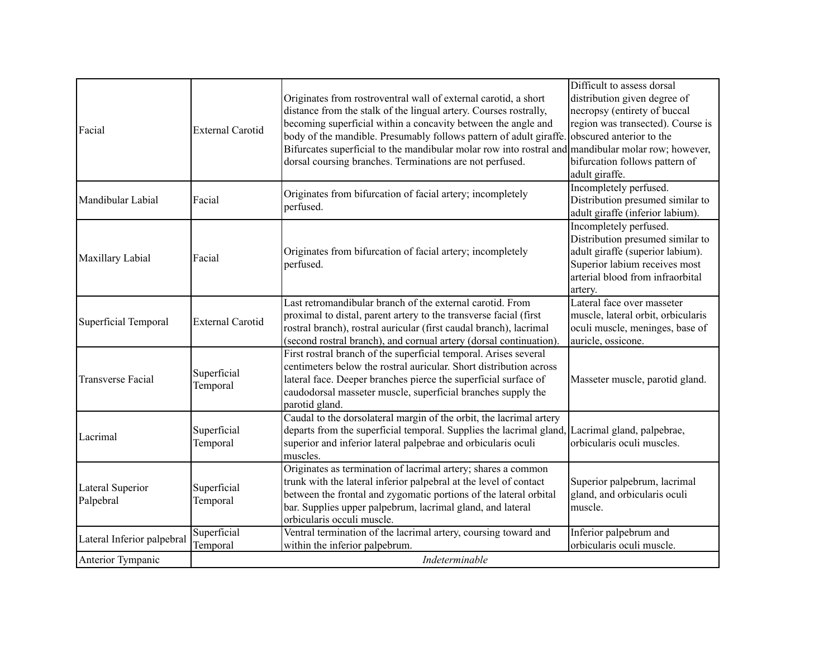| Facial                        | <b>External Carotid</b> | Originates from rostroventral wall of external carotid, a short<br>distance from the stalk of the lingual artery. Courses rostrally,<br>becoming superficial within a concavity between the angle and<br>body of the mandible. Presumably follows pattern of adult giraffe.<br>Bifurcates superficial to the mandibular molar row into rostral and mandibular molar row; however, | Difficult to assess dorsal<br>distribution given degree of<br>necropsy (entirety of buccal<br>region was transected). Course is<br>obscured anterior to the                                                        |
|-------------------------------|-------------------------|-----------------------------------------------------------------------------------------------------------------------------------------------------------------------------------------------------------------------------------------------------------------------------------------------------------------------------------------------------------------------------------|--------------------------------------------------------------------------------------------------------------------------------------------------------------------------------------------------------------------|
| Mandibular Labial             | Facial                  | dorsal coursing branches. Terminations are not perfused.<br>Originates from bifurcation of facial artery; incompletely<br>perfused.                                                                                                                                                                                                                                               | bifurcation follows pattern of<br>adult giraffe.<br>Incompletely perfused.<br>Distribution presumed similar to                                                                                                     |
| Maxillary Labial              | Facial                  | Originates from bifurcation of facial artery; incompletely<br>perfused.                                                                                                                                                                                                                                                                                                           | adult giraffe (inferior labium).<br>Incompletely perfused.<br>Distribution presumed similar to<br>adult giraffe (superior labium).<br>Superior labium receives most<br>arterial blood from infraorbital<br>artery. |
| Superficial Temporal          | <b>External Carotid</b> | Last retromandibular branch of the external carotid. From<br>proximal to distal, parent artery to the transverse facial (first<br>rostral branch), rostral auricular (first caudal branch), lacrimal<br>(second rostral branch), and cornual artery (dorsal continuation).                                                                                                        | Lateral face over masseter<br>muscle, lateral orbit, orbicularis<br>oculi muscle, meninges, base of<br>auricle, ossicone.                                                                                          |
| <b>Transverse Facial</b>      | Superficial<br>Temporal | First rostral branch of the superficial temporal. Arises several<br>centimeters below the rostral auricular. Short distribution across<br>lateral face. Deeper branches pierce the superficial surface of<br>caudodorsal masseter muscle, superficial branches supply the<br>parotid gland.                                                                                       | Masseter muscle, parotid gland.                                                                                                                                                                                    |
| Lacrimal                      | Superficial<br>Temporal | Caudal to the dorsolateral margin of the orbit, the lacrimal artery<br>departs from the superficial temporal. Supplies the lacrimal gland, Lacrimal gland, palpebrae,<br>superior and inferior lateral palpebrae and orbicularis oculi<br>muscles.                                                                                                                                | orbicularis oculi muscles.                                                                                                                                                                                         |
| Lateral Superior<br>Palpebral | Superficial<br>Temporal | Originates as termination of lacrimal artery; shares a common<br>trunk with the lateral inferior palpebral at the level of contact<br>between the frontal and zygomatic portions of the lateral orbital<br>bar. Supplies upper palpebrum, lacrimal gland, and lateral<br>orbicularis occuli muscle.                                                                               | Superior palpebrum, lacrimal<br>gland, and orbicularis oculi<br>muscle.                                                                                                                                            |
| Lateral Inferior palpebral    | Superficial<br>Temporal | Ventral termination of the lacrimal artery, coursing toward and<br>within the inferior palpebrum.                                                                                                                                                                                                                                                                                 | Inferior palpebrum and<br>orbicularis oculi muscle.                                                                                                                                                                |
| Anterior Tympanic             |                         | Indeterminable                                                                                                                                                                                                                                                                                                                                                                    |                                                                                                                                                                                                                    |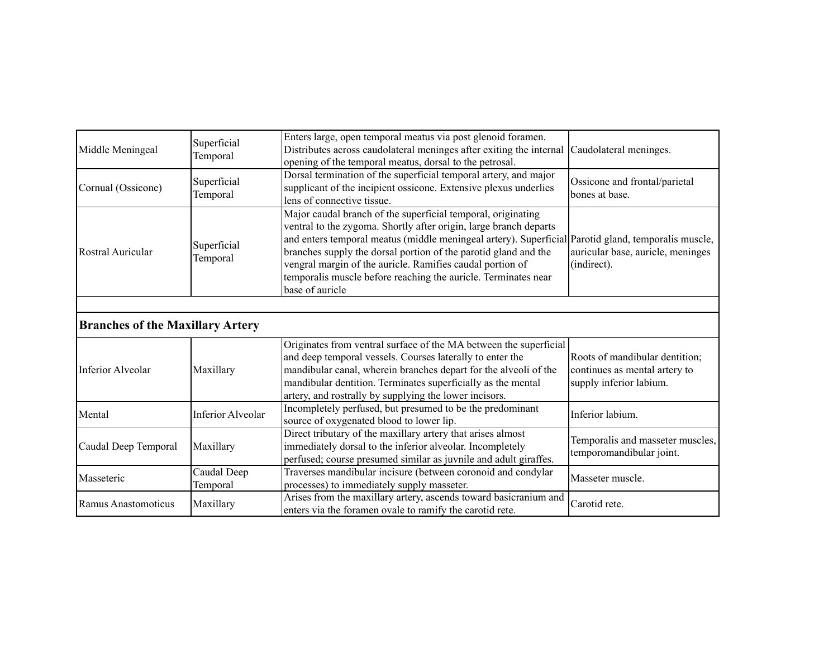| Middle Meningeal                        | Superficial<br>Temporal  | Enters large, open temporal meatus via post glenoid foramen.<br>Distributes across caudolateral meninges after exiting the internal<br>opening of the temporal meatus, dorsal to the petrosal.                                                                                                                                                                                                                                                                | Caudolateral meninges.                                                                     |
|-----------------------------------------|--------------------------|---------------------------------------------------------------------------------------------------------------------------------------------------------------------------------------------------------------------------------------------------------------------------------------------------------------------------------------------------------------------------------------------------------------------------------------------------------------|--------------------------------------------------------------------------------------------|
| Cornual (Ossicone)                      | Superficial<br>Temporal  | Dorsal termination of the superficial temporal artery, and major<br>supplicant of the incipient ossicone. Extensive plexus underlies<br>lens of connective tissue.                                                                                                                                                                                                                                                                                            | Ossicone and frontal/parietal<br>bones at base.                                            |
| Rostral Auricular                       | Superficial<br>Temporal  | Major caudal branch of the superficial temporal, originating<br>ventral to the zygoma. Shortly after origin, large branch departs<br>and enters temporal meatus (middle meningeal artery). Superficial Parotid gland, temporalis muscle,<br>branches supply the dorsal portion of the parotid gland and the<br>vengral margin of the auricle. Ramifies caudal portion of<br>temporalis muscle before reaching the auricle. Terminates near<br>base of auricle | auricular base, auricle, meninges<br>(indirect).                                           |
|                                         |                          |                                                                                                                                                                                                                                                                                                                                                                                                                                                               |                                                                                            |
| <b>Branches of the Maxillary Artery</b> |                          |                                                                                                                                                                                                                                                                                                                                                                                                                                                               |                                                                                            |
| Inferior Alveolar                       | Maxillary                | Originates from ventral surface of the MA between the superficial<br>and deep temporal vessels. Courses laterally to enter the<br>mandibular canal, wherein branches depart for the alveoli of the<br>mandibular dentition. Terminates superficially as the mental<br>artery, and rostrally by supplying the lower incisors.                                                                                                                                  | Roots of mandibular dentition;<br>continues as mental artery to<br>supply inferior labium. |
| Mental                                  | <b>Inferior Alveolar</b> | Incompletely perfused, but presumed to be the predominant<br>source of oxygenated blood to lower lip.                                                                                                                                                                                                                                                                                                                                                         | Inferior labium.                                                                           |
| Caudal Deep Temporal                    | Maxillary                | Direct tributary of the maxillary artery that arises almost<br>immediately dorsal to the inferior alveolar. Incompletely<br>perfused; course presumed similar as juvnile and adult giraffes.                                                                                                                                                                                                                                                                  | Temporalis and masseter muscles,<br>temporomandibular joint.                               |
| Masseteric                              | Caudal Deep<br>Temporal  | Traverses mandibular incisure (between coronoid and condylar<br>processes) to immediately supply masseter.                                                                                                                                                                                                                                                                                                                                                    | Masseter muscle.                                                                           |
| Ramus Anastomoticus                     | Maxillary                | Arises from the maxillary artery, ascends toward basicranium and<br>enters via the foramen ovale to ramify the carotid rete.                                                                                                                                                                                                                                                                                                                                  | Carotid rete.                                                                              |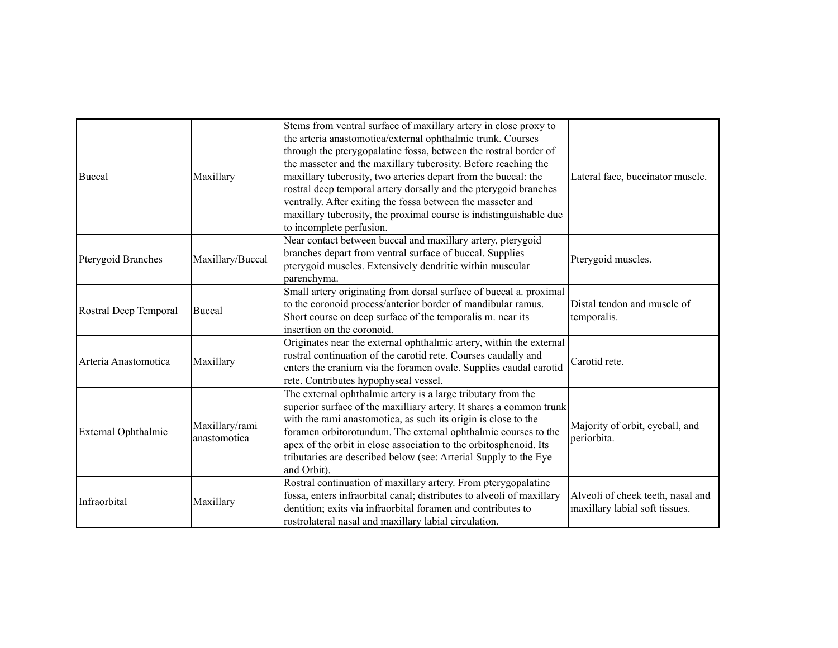| Buccal                | Maxillary                      | Stems from ventral surface of maxillary artery in close proxy to<br>the arteria anastomotica/external ophthalmic trunk. Courses<br>through the pterygopalatine fossa, between the rostral border of<br>the masseter and the maxillary tuberosity. Before reaching the<br>maxillary tuberosity, two arteries depart from the buccal: the<br>rostral deep temporal artery dorsally and the pterygoid branches<br>ventrally. After exiting the fossa between the masseter and<br>maxillary tuberosity, the proximal course is indistinguishable due<br>to incomplete perfusion. | Lateral face, buccinator muscle.                                    |
|-----------------------|--------------------------------|------------------------------------------------------------------------------------------------------------------------------------------------------------------------------------------------------------------------------------------------------------------------------------------------------------------------------------------------------------------------------------------------------------------------------------------------------------------------------------------------------------------------------------------------------------------------------|---------------------------------------------------------------------|
| Pterygoid Branches    | Maxillary/Buccal               | Near contact between buccal and maxillary artery, pterygoid<br>branches depart from ventral surface of buccal. Supplies<br>pterygoid muscles. Extensively dendritic within muscular<br>parenchyma.                                                                                                                                                                                                                                                                                                                                                                           | Pterygoid muscles.                                                  |
| Rostral Deep Temporal | Buccal                         | Small artery originating from dorsal surface of buccal a. proximal<br>to the coronoid process/anterior border of mandibular ramus.<br>Short course on deep surface of the temporalis m. near its<br>insertion on the coronoid.                                                                                                                                                                                                                                                                                                                                               | Distal tendon and muscle of<br>temporalis.                          |
| Arteria Anastomotica  | Maxillary                      | Originates near the external ophthalmic artery, within the external<br>rostral continuation of the carotid rete. Courses caudally and<br>enters the cranium via the foramen ovale. Supplies caudal carotid<br>rete. Contributes hypophyseal vessel.                                                                                                                                                                                                                                                                                                                          | Carotid rete.                                                       |
| External Ophthalmic   | Maxillary/rami<br>anastomotica | The external ophthalmic artery is a large tributary from the<br>superior surface of the maxilliary artery. It shares a common trunk<br>with the rami anastomotica, as such its origin is close to the<br>foramen orbitorotundum. The external ophthalmic courses to the<br>apex of the orbit in close association to the orbitosphenoid. Its<br>tributaries are described below (see: Arterial Supply to the Eye<br>and Orbit).                                                                                                                                              | Majority of orbit, eyeball, and<br>periorbita.                      |
| Infraorbital          | Maxillary                      | Rostral continuation of maxillary artery. From pterygopalatine<br>fossa, enters infraorbital canal; distributes to alveoli of maxillary<br>dentition; exits via infraorbital foramen and contributes to<br>rostrolateral nasal and maxillary labial circulation.                                                                                                                                                                                                                                                                                                             | Alveoli of cheek teeth, nasal and<br>maxillary labial soft tissues. |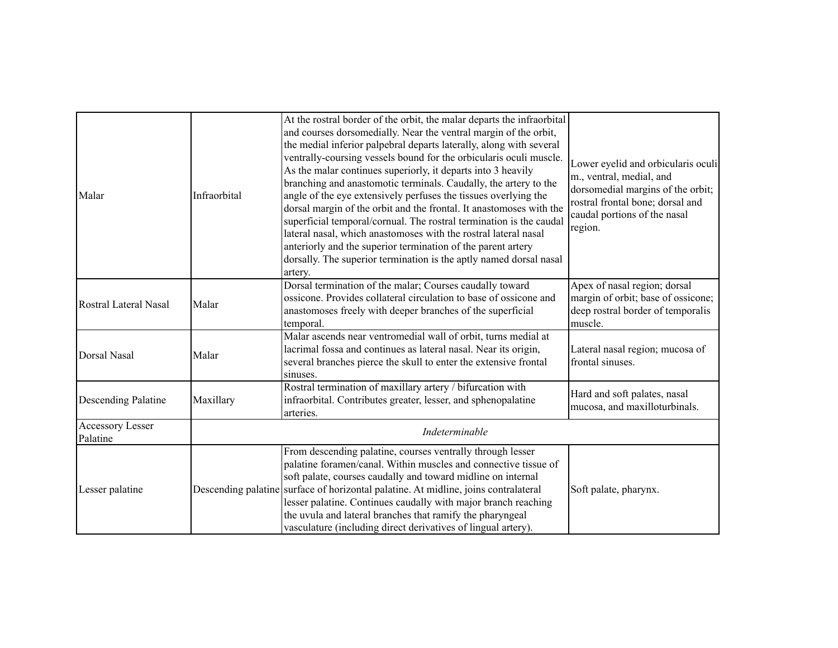| Malar                        | Infraorbital   | At the rostral border of the orbit, the malar departs the infraorbital<br>and courses dorsomedially. Near the ventral margin of the orbit,<br>the medial inferior palpebral departs laterally, along with several<br>ventrally-coursing vessels bound for the orbicularis oculi muscle.<br>As the malar continues superiorly, it departs into 3 heavily<br>branching and anastomotic terminals. Caudally, the artery to the<br>angle of the eye extensively perfuses the tissues overlying the<br>dorsal margin of the orbit and the frontal. It anastomoses with the<br>superficial temporal/cornual. The rostral termination is the caudal<br>lateral nasal, which anastomoses with the rostral lateral nasal<br>anteriorly and the superior termination of the parent artery<br>dorsally. The superior termination is the aptly named dorsal nasal<br>artery. | Lower eyelid and orbicularis oculi<br>m., ventral, medial, and<br>dorsomedial margins of the orbit;<br>rostral frontal bone; dorsal and<br>caudal portions of the nasal<br>region. |
|------------------------------|----------------|------------------------------------------------------------------------------------------------------------------------------------------------------------------------------------------------------------------------------------------------------------------------------------------------------------------------------------------------------------------------------------------------------------------------------------------------------------------------------------------------------------------------------------------------------------------------------------------------------------------------------------------------------------------------------------------------------------------------------------------------------------------------------------------------------------------------------------------------------------------|------------------------------------------------------------------------------------------------------------------------------------------------------------------------------------|
| Rostral Lateral Nasal        | Malar          | Dorsal termination of the malar; Courses caudally toward<br>ossicone. Provides collateral circulation to base of ossicone and<br>anastomoses freely with deeper branches of the superficial<br>temporal.                                                                                                                                                                                                                                                                                                                                                                                                                                                                                                                                                                                                                                                         | Apex of nasal region; dorsal<br>margin of orbit; base of ossicone;<br>deep rostral border of temporalis<br>muscle.                                                                 |
| Dorsal Nasal                 | Malar          | Malar ascends near ventromedial wall of orbit, turns medial at<br>lacrimal fossa and continues as lateral nasal. Near its origin,<br>several branches pierce the skull to enter the extensive frontal<br>sinuses.                                                                                                                                                                                                                                                                                                                                                                                                                                                                                                                                                                                                                                                | Lateral nasal region; mucosa of<br>frontal sinuses.                                                                                                                                |
| Descending Palatine          | Maxillary      | Rostral termination of maxillary artery / bifurcation with<br>infraorbital. Contributes greater, lesser, and sphenopalatine<br>arteries.                                                                                                                                                                                                                                                                                                                                                                                                                                                                                                                                                                                                                                                                                                                         | Hard and soft palates, nasal<br>mucosa, and maxilloturbinals.                                                                                                                      |
| Accessory Lesser<br>Palatine | Indeterminable |                                                                                                                                                                                                                                                                                                                                                                                                                                                                                                                                                                                                                                                                                                                                                                                                                                                                  |                                                                                                                                                                                    |
| Lesser palatine              |                | From descending palatine, courses ventrally through lesser<br>palatine foramen/canal. Within muscles and connective tissue of<br>soft palate, courses caudally and toward midline on internal<br>Descending palatine surface of horizontal palatine. At midline, joins contralateral<br>lesser palatine. Continues caudally with major branch reaching<br>the uvula and lateral branches that ramify the pharyngeal<br>vasculature (including direct derivatives of lingual artery).                                                                                                                                                                                                                                                                                                                                                                             | Soft palate, pharynx.                                                                                                                                                              |